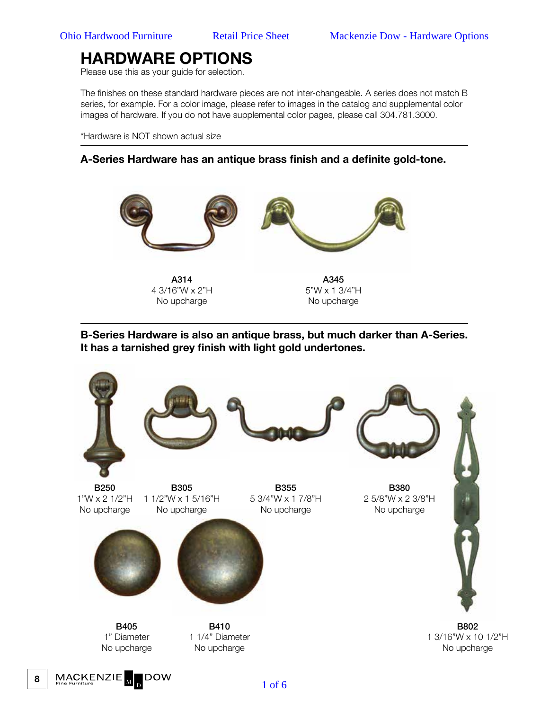Please use this as your guide for selection.

The finishes on these standard hardware pieces are not inter-changeable. A series does not match B series, for example. For a color image, please refer to images in the catalog and supplemental color images of hardware. If you do not have supplemental color pages, please call 304.781.3000.

\*Hardware is NOT shown actual size

#### **A-Series Hardware has an antique brass finish and a definite gold-tone.**



A314 4 3/16"W x 2"H No upcharge

A345 5"W x 1 3/4"H No upcharge

**B-Series Hardware is also an antique brass, but much darker than A-Series. It has a tarnished grey finish with light gold undertones.**



MACKENZIE **IDOW** 

**8**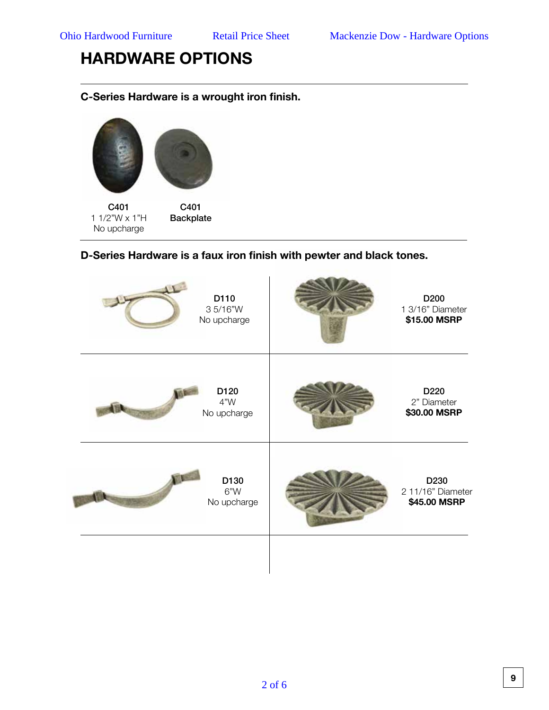### **C-Series Hardware is a wrought iron finish.**



### **D-Series Hardware is a faux iron finish with pewter and black tones.**

| D110<br>35/16"W<br>No upcharge | D <sub>200</sub><br>1 3/16" Diameter<br>\$15.00 MSRP  |
|--------------------------------|-------------------------------------------------------|
| D120<br>4"W<br>No upcharge     | D <sub>220</sub><br>2" Diameter<br>\$30.00 MSRP       |
| D130<br>6"W<br>No upcharge     | D <sub>230</sub><br>2 11/16" Diameter<br>\$45.00 MSRP |
|                                |                                                       |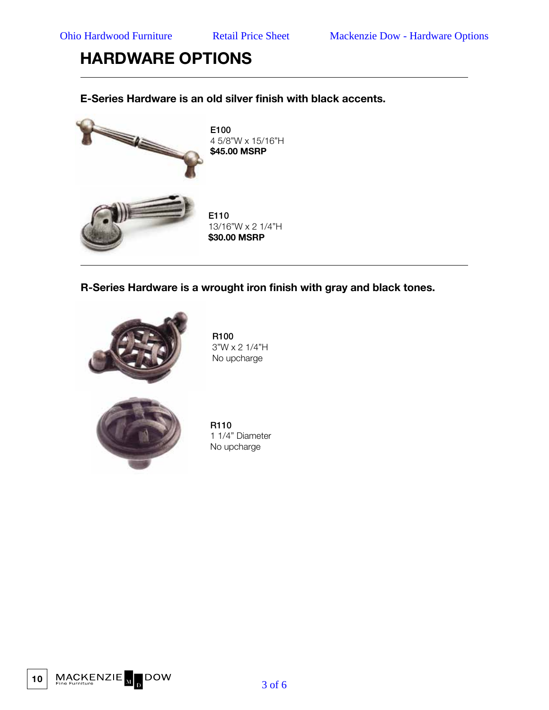### **E-Series Hardware is an old silver finish with black accents.**



**R-Series Hardware is a wrought iron finish with gray and black tones.** 



R100 3"W x 2 1/4"H No upcharge



R110 1 1/4" Diameter No upcharge

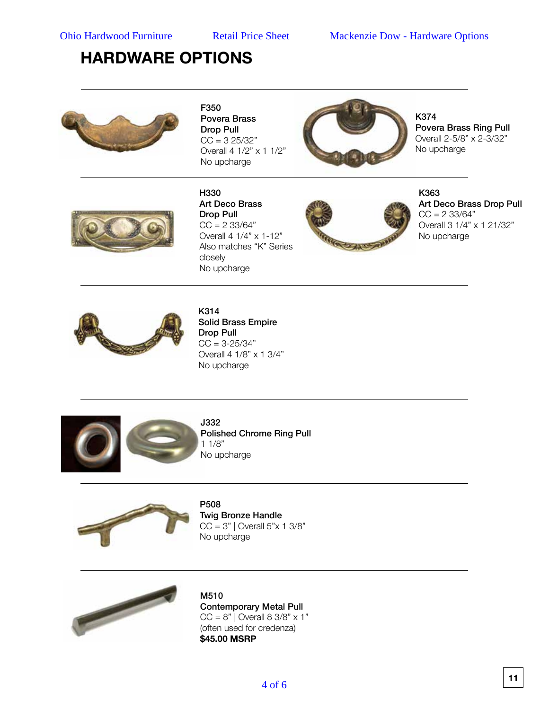

F350 Povera Brass Drop Pull  $CC = 325/32"$ Overall 4 1/2" x 1 1/2" No upcharge



K374 Povera Brass Ring Pull Overall 2-5/8" x 2-3/32" No upcharge



H330 Art Deco Brass Drop Pull  $CC = 2 \frac{33}{64}$ Overall 4 1/4" x 1-12" Also matches "K" Series closely No upcharge



K363 Art Deco Brass Drop Pull  $CC = 2 \frac{33}{64}$ Overall 3 1/4" x 1 21/32" No upcharge



K314 Solid Brass Empire Drop Pull  $CC = 3 - 25/34"$ Overall 4 1/8" x 1 3/4" No upcharge





No upcharge

P508 Twig Bronze Handle  $CC = 3"$  | Overall  $5"x 1 3/8"$ 



M510 Contemporary Metal Pull  $CC = 8"$  Overall  $8 \frac{3}{8"} \times 1"$ (often used for credenza) **\$45.00 MSRP**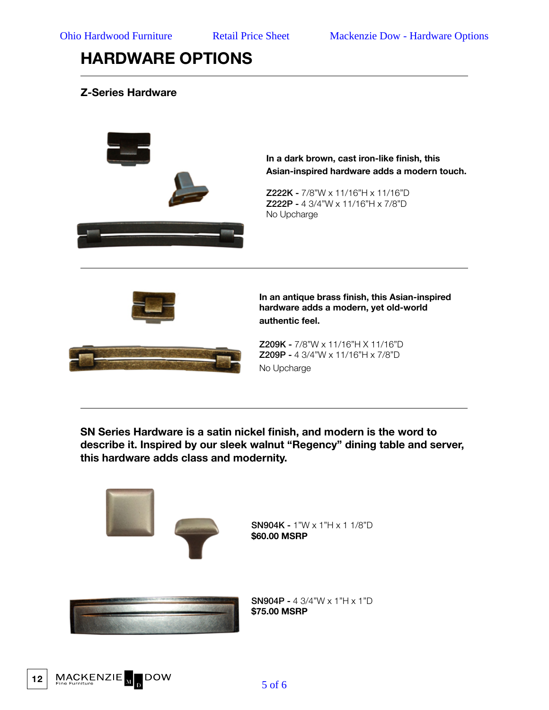### **Z-Series Hardware**



**SN Series Hardware is a satin nickel finish, and modern is the word to describe it. Inspired by our sleek walnut "Regency" dining table and server, this hardware adds class and modernity.**



**12**